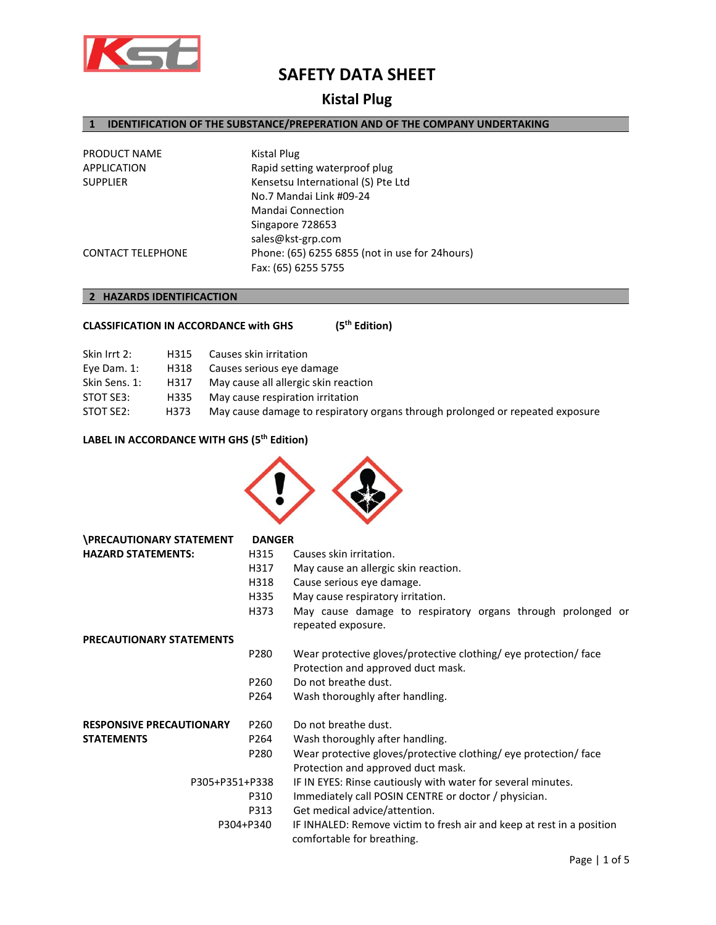

# **Kistal Plug**

## **1 IDENTIFICATION OF THE SUBSTANCE/PREPERATION AND OF THE COMPANY UNDERTAKING**

| PRODUCT NAME             | Kistal Plug                                     |
|--------------------------|-------------------------------------------------|
| APPLICATION              | Rapid setting waterproof plug                   |
| <b>SUPPLIER</b>          | Kensetsu International (S) Pte Ltd              |
|                          | No.7 Mandai Link #09-24                         |
|                          | <b>Mandai Connection</b>                        |
|                          | Singapore 728653                                |
|                          | sales@kst-grp.com                               |
| <b>CONTACT TELEPHONE</b> | Phone: (65) 6255 6855 (not in use for 24 hours) |
|                          | Fax: (65) 6255 5755                             |

## **2 HAZARDS IDENTIFICACTION**

| <b>CLASSIFICATION IN ACCORDANCE with GHS</b> | (5 <sup>th</sup> Edition) |
|----------------------------------------------|---------------------------|
|----------------------------------------------|---------------------------|

| Skin Irrt 2:  | H315 | Causes skin irritation                                                        |
|---------------|------|-------------------------------------------------------------------------------|
| Eye Dam. 1:   | H318 | Causes serious eye damage                                                     |
| Skin Sens. 1: | H317 | May cause all allergic skin reaction                                          |
| STOT SE3:     | H335 | May cause respiration irritation                                              |
| STOT SE2:     | H373 | May cause damage to respiratory organs through prolonged or repeated exposure |
|               |      |                                                                               |

## **LABEL IN ACCORDANCE WITH GHS (5th Edition)**



| <b>\PRECAUTIONARY STATEMENT</b> | <b>DANGER</b>    |                                                                                                        |
|---------------------------------|------------------|--------------------------------------------------------------------------------------------------------|
| <b>HAZARD STATEMENTS:</b>       | H315             | Causes skin irritation.                                                                                |
|                                 | H317             | May cause an allergic skin reaction.                                                                   |
|                                 | H318             | Cause serious eye damage.                                                                              |
|                                 | H335             | May cause respiratory irritation.                                                                      |
|                                 | H373             | May cause damage to respiratory organs through prolonged or<br>repeated exposure.                      |
| <b>PRECAUTIONARY STATEMENTS</b> |                  |                                                                                                        |
|                                 | P280             | Wear protective gloves/protective clothing/ eye protection/ face<br>Protection and approved duct mask. |
|                                 | P <sub>260</sub> | Do not breathe dust.                                                                                   |
|                                 | P264             | Wash thoroughly after handling.                                                                        |
| <b>RESPONSIVE PRECAUTIONARY</b> | P260             | Do not breathe dust.                                                                                   |
| <b>STATEMENTS</b>               | P264             | Wash thoroughly after handling.                                                                        |
|                                 | P280             | Wear protective gloves/protective clothing/ eye protection/ face                                       |
|                                 |                  | Protection and approved duct mask.                                                                     |
| P305+P351+P338                  |                  | IF IN EYES: Rinse cautiously with water for several minutes.                                           |
|                                 | P310             | Immediately call POSIN CENTRE or doctor / physician.                                                   |
|                                 | P313             | Get medical advice/attention.                                                                          |
|                                 | P304+P340        | IF INHALED: Remove victim to fresh air and keep at rest in a position<br>comfortable for breathing.    |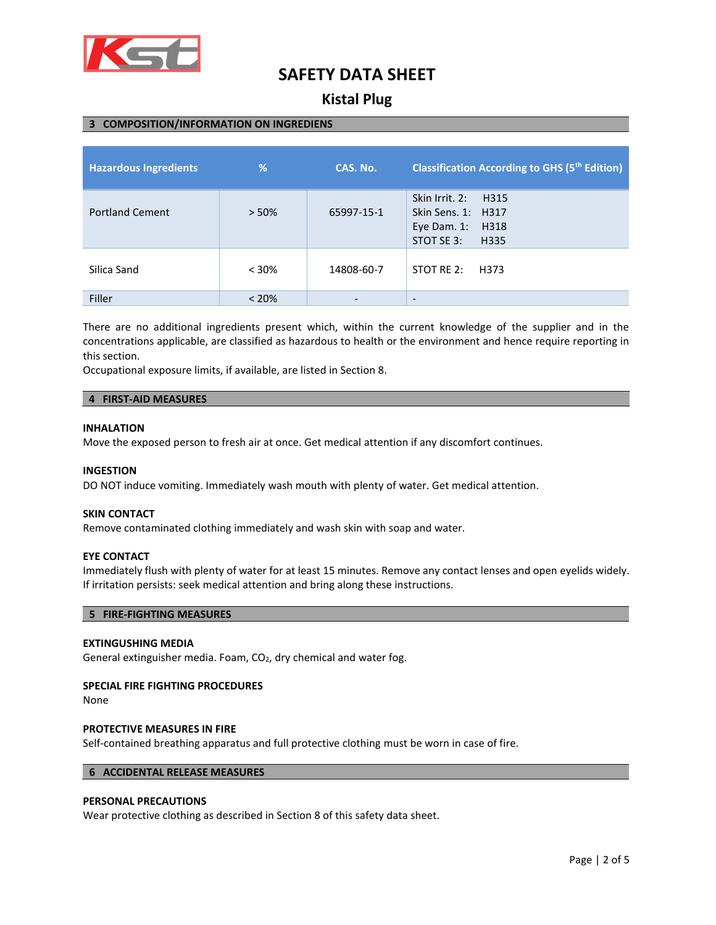

## **Kistal Plug**

### **3 COMPOSITION/INFORMATION ON INGREDIENS**

| <b>Hazardous Ingredients</b> | $\frac{9}{6}$ | CAS. No.   | <b>Classification According to GHS (5th Edition)</b>                                      |
|------------------------------|---------------|------------|-------------------------------------------------------------------------------------------|
| <b>Portland Cement</b>       | > 50%         | 65997-15-1 | Skin Irrit, 2:<br>H315<br>Skin Sens. 1: H317<br>H318<br>Eye Dam. 1:<br>STOT SE 3:<br>H335 |
| Silica Sand                  | < 30%         | 14808-60-7 | STOT RE 2:<br>H373                                                                        |
| Filler                       | $< 20\%$      |            | $\overline{\phantom{a}}$                                                                  |

There are no additional ingredients present which, within the current knowledge of the supplier and in the concentrations applicable, are classified as hazardous to health or the environment and hence require reporting in this section.

Occupational exposure limits, if available, are listed in Section 8.

### **4 FIRST-AID MEASURES**

### **INHALATION**

Move the exposed person to fresh air at once. Get medical attention if any discomfort continues.

### **INGESTION**

DO NOT induce vomiting. Immediately wash mouth with plenty of water. Get medical attention.

### **SKIN CONTACT**

Remove contaminated clothing immediately and wash skin with soap and water.

### **EYE CONTACT**

Immediately flush with plenty of water for at least 15 minutes. Remove any contact lenses and open eyelids widely. If irritation persists: seek medical attention and bring along these instructions.

### **5 FIRE-FIGHTING MEASURES**

### **EXTINGUSHING MEDIA**

General extinguisher media. Foam, CO<sub>2</sub>, dry chemical and water fog.

### **SPECIAL FIRE FIGHTING PROCEDURES**

None

### **PROTECTIVE MEASURES IN FIRE**

Self-contained breathing apparatus and full protective clothing must be worn in case of fire.

### **6 ACCIDENTAL RELEASE MEASURES**

### **PERSONAL PRECAUTIONS**

Wear protective clothing as described in Section 8 of this safety data sheet.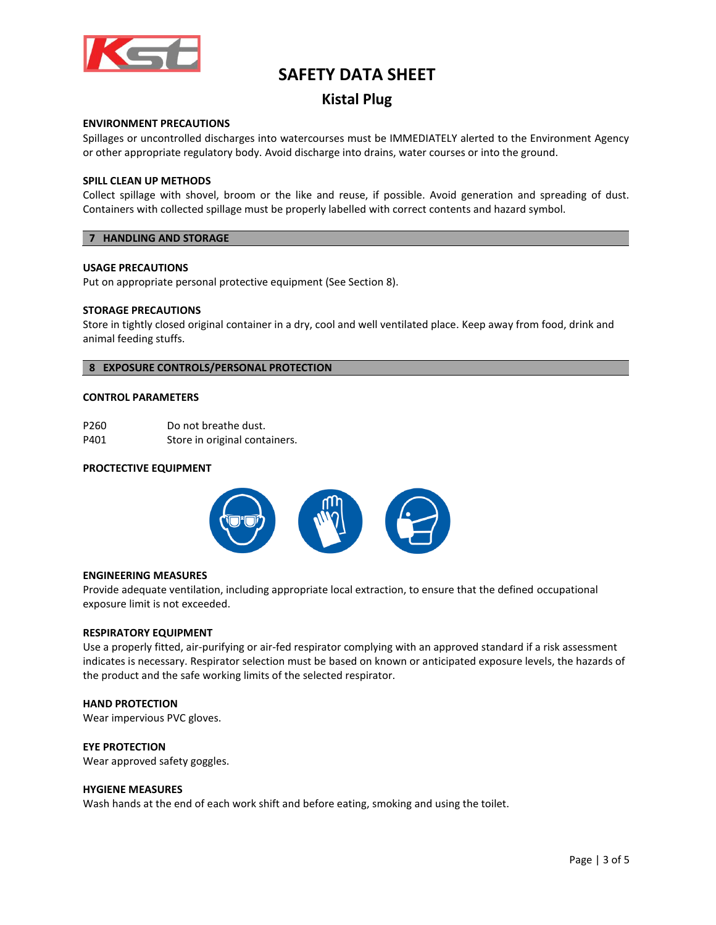

## **Kistal Plug**

### **ENVIRONMENT PRECAUTIONS**

Spillages or uncontrolled discharges into watercourses must be IMMEDIATELY alerted to the Environment Agency or other appropriate regulatory body. Avoid discharge into drains, water courses or into the ground.

### **SPILL CLEAN UP METHODS**

Collect spillage with shovel, broom or the like and reuse, if possible. Avoid generation and spreading of dust. Containers with collected spillage must be properly labelled with correct contents and hazard symbol.

### **7 HANDLING AND STORAGE**

### **USAGE PRECAUTIONS**

Put on appropriate personal protective equipment (See Section 8).

### **STORAGE PRECAUTIONS**

Store in tightly closed original container in a dry, cool and well ventilated place. Keep away from food, drink and animal feeding stuffs.

### **8 EXPOSURE CONTROLS/PERSONAL PROTECTION**

### **CONTROL PARAMETERS**

P260 Do not breathe dust. P401 Store in original containers.

### **PROCTECTIVE EQUIPMENT**



### **ENGINEERING MEASURES**

Provide adequate ventilation, including appropriate local extraction, to ensure that the defined occupational exposure limit is not exceeded.

### **RESPIRATORY EQUIPMENT**

Use a properly fitted, air-purifying or air-fed respirator complying with an approved standard if a risk assessment indicates is necessary. Respirator selection must be based on known or anticipated exposure levels, the hazards of the product and the safe working limits of the selected respirator.

### **HAND PROTECTION**

Wear impervious PVC gloves.

### **EYE PROTECTION**

Wear approved safety goggles.

### **HYGIENE MEASURES**

Wash hands at the end of each work shift and before eating, smoking and using the toilet.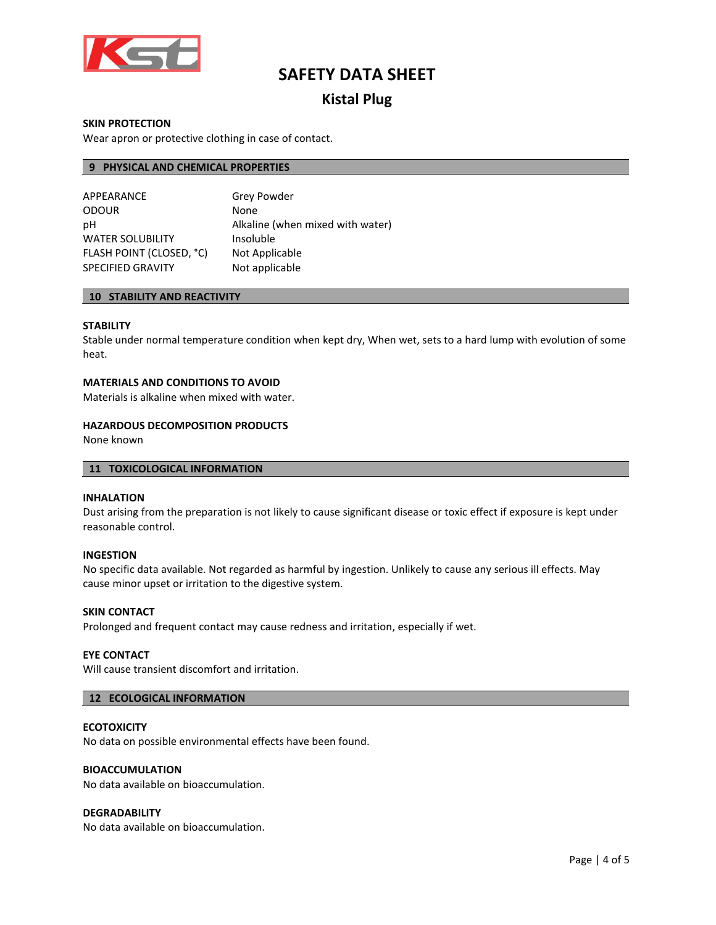

## **Kistal Plug**

### **SKIN PROTECTION**

Wear apron or protective clothing in case of contact.

## **9 PHYSICAL AND CHEMICAL PROPERTIES**

| APPEARANCE               | <b>Grey Powder</b>               |
|--------------------------|----------------------------------|
| <b>ODOUR</b>             | None                             |
| рH                       | Alkaline (when mixed with water) |
| <b>WATER SOLUBILITY</b>  | Insoluble                        |
| FLASH POINT (CLOSED, °C) | Not Applicable                   |
| <b>SPECIFIED GRAVITY</b> | Not applicable                   |

### **10 STABILITY AND REACTIVITY**

### **STABILITY**

Stable under normal temperature condition when kept dry, When wet, sets to a hard lump with evolution of some heat.

### **MATERIALS AND CONDITIONS TO AVOID**

Materials is alkaline when mixed with water.

### **HAZARDOUS DECOMPOSITION PRODUCTS**

None known

### **11 TOXICOLOGICAL INFORMATION**

### **INHALATION**

Dust arising from the preparation is not likely to cause significant disease or toxic effect if exposure is kept under reasonable control.

### **INGESTION**

No specific data available. Not regarded as harmful by ingestion. Unlikely to cause any serious ill effects. May cause minor upset or irritation to the digestive system.

### **SKIN CONTACT**

Prolonged and frequent contact may cause redness and irritation, especially if wet.

### **EYE CONTACT**

Will cause transient discomfort and irritation.

### **12 ECOLOGICAL INFORMATION**

### **ECOTOXICITY**

No data on possible environmental effects have been found.

### **BIOACCUMULATION**

No data available on bioaccumulation.

### **DEGRADABILITY**

No data available on bioaccumulation.